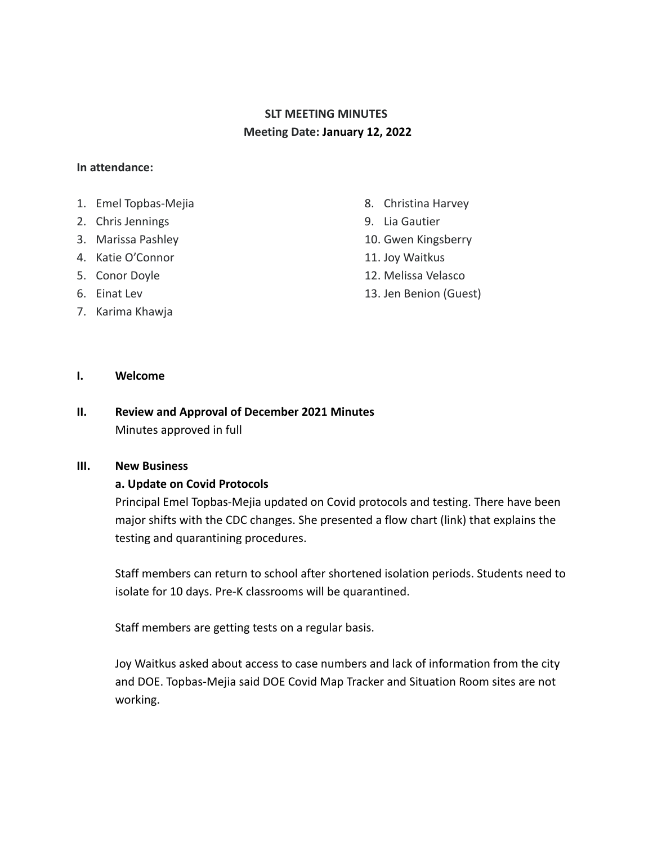# **SLT MEETING MINUTES Meeting Date: January 12, 2022**

#### **In attendance:**

- 1. Emel Topbas-Mejia
- 2. Chris Jennings
- 3. Marissa Pashley
- 4. Katie O'Connor
- 5. Conor Doyle
- 6. Einat Lev
- 7. Karima Khawja
- 8. Christina Harvey
- 9. Lia Gautier
- 10. Gwen Kingsberry
- 11. Joy Waitkus
- 12. Melissa Velasco
- 13. Jen Benion (Guest)

### **I. Welcome**

## **II. Review and Approval of December 2021 Minutes** Minutes approved in full

#### **III. New Business**

#### **a. Update on Covid Protocols**

Principal Emel Topbas-Mejia updated on Covid protocols and testing. There have been major shifts with the CDC changes. She presented a flow chart (link) that explains the testing and quarantining procedures.

Staff members can return to school after shortened isolation periods. Students need to isolate for 10 days. Pre-K classrooms will be quarantined.

Staff members are getting tests on a regular basis.

Joy Waitkus asked about access to case numbers and lack of information from the city and DOE. Topbas-Mejia said DOE Covid Map Tracker and Situation Room sites are not working.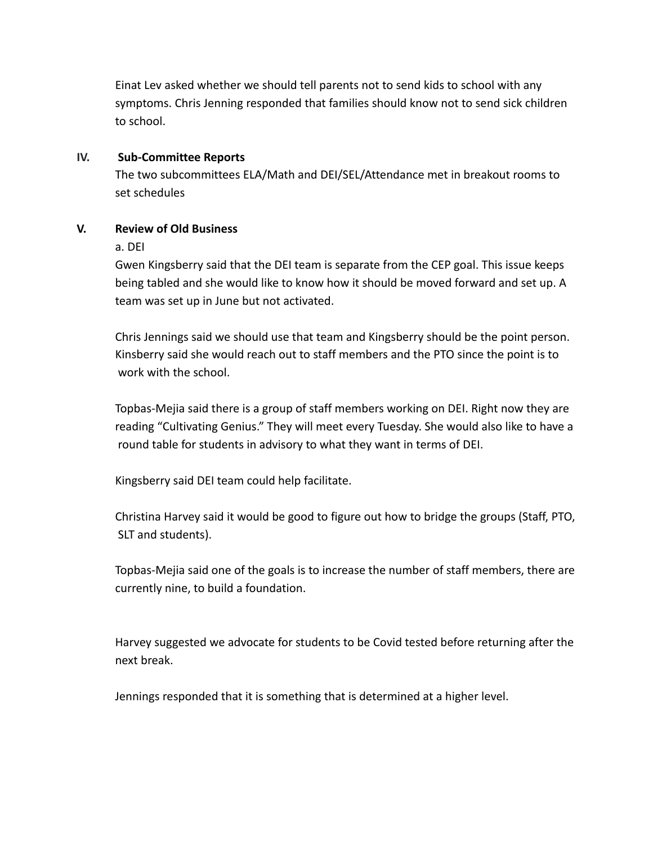Einat Lev asked whether we should tell parents not to send kids to school with any symptoms. Chris Jenning responded that families should know not to send sick children to school.

#### **IV. Sub-Committee Reports**

The two subcommittees ELA/Math and DEI/SEL/Attendance met in breakout rooms to set schedules

### **V. Review of Old Business**

#### a. DEI

Gwen Kingsberry said that the DEI team is separate from the CEP goal. This issue keeps being tabled and she would like to know how it should be moved forward and set up. A team was set up in June but not activated.

Chris Jennings said we should use that team and Kingsberry should be the point person. Kinsberry said she would reach out to staff members and the PTO since the point is to work with the school.

Topbas-Mejia said there is a group of staff members working on DEI. Right now they are reading "Cultivating Genius." They will meet every Tuesday. She would also like to have a round table for students in advisory to what they want in terms of DEI.

Kingsberry said DEI team could help facilitate.

Christina Harvey said it would be good to figure out how to bridge the groups (Staff, PTO, SLT and students).

Topbas-Mejia said one of the goals is to increase the number of staff members, there are currently nine, to build a foundation.

Harvey suggested we advocate for students to be Covid tested before returning after the next break.

Jennings responded that it is something that is determined at a higher level.